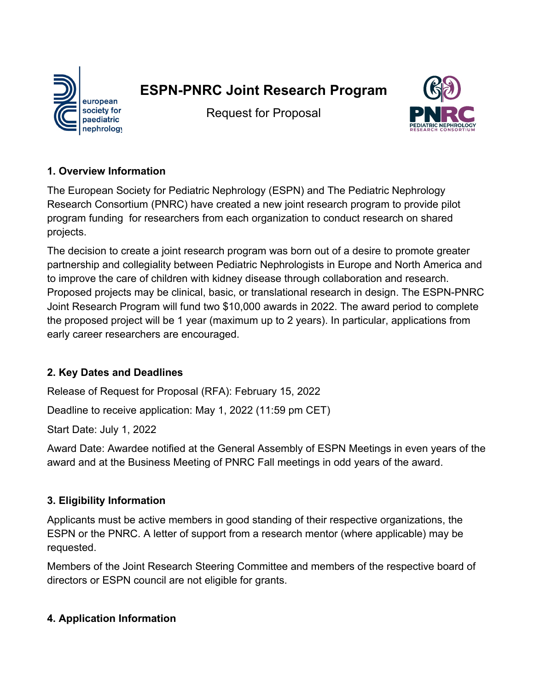

# **ESPN-PNRC Joint Research Program**

Request for Proposal



# **1. Overview Information**

The European Society for Pediatric Nephrology (ESPN) and The Pediatric Nephrology Research Consortium (PNRC) have created a new joint research program to provide pilot program funding for researchers from each organization to conduct research on shared projects.

The decision to create a joint research program was born out of a desire to promote greater partnership and collegiality between Pediatric Nephrologists in Europe and North America and to improve the care of children with kidney disease through collaboration and research. Proposed projects may be clinical, basic, or translational research in design. The ESPN-PNRC Joint Research Program will fund two \$10,000 awards in 2022. The award period to complete the proposed project will be 1 year (maximum up to 2 years). In particular, applications from early career researchers are encouraged.

# **2. Key Dates and Deadlines**

Release of Request for Proposal (RFA): February 15, 2022

Deadline to receive application: May 1, 2022 (11:59 pm CET)

Start Date: July 1, 2022

Award Date: Awardee notified at the General Assembly of ESPN Meetings in even years of the award and at the Business Meeting of PNRC Fall meetings in odd years of the award.

# **3. Eligibility Information**

Applicants must be active members in good standing of their respective organizations, the ESPN or the PNRC. A letter of support from a research mentor (where applicable) may be requested.

Members of the Joint Research Steering Committee and members of the respective board of directors or ESPN council are not eligible for grants.

# **4. Application Information**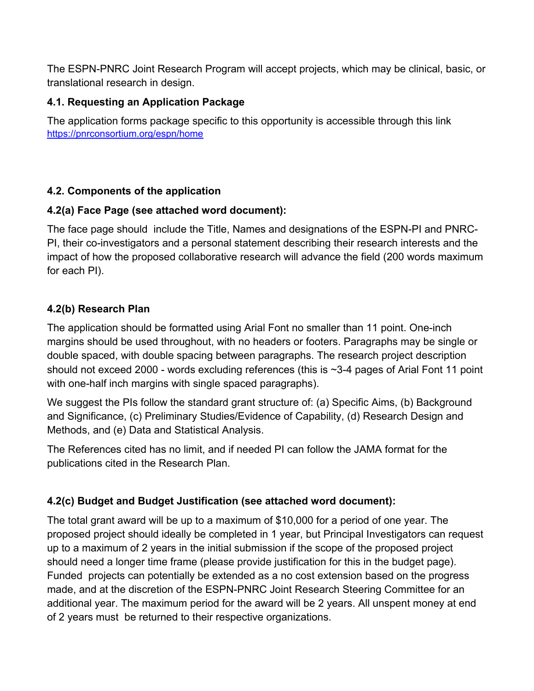The ESPN-PNRC Joint Research Program will accept projects, which may be clinical, basic, or translational research in design.

#### **4.1. Requesting an Application Package**

The application forms package specific to this opportunity is accessible through this link <https://pnrconsortium.org/espn/home>

#### **4.2. Components of the application**

#### **4.2(a) Face Page (see attached word document):**

The face page should include the Title, Names and designations of the ESPN-PI and PNRC-PI, their co-investigators and a personal statement describing their research interests and the impact of how the proposed collaborative research will advance the field (200 words maximum for each PI).

#### **4.2(b) Research Plan**

The application should be formatted using Arial Font no smaller than 11 point. One-inch margins should be used throughout, with no headers or footers. Paragraphs may be single or double spaced, with double spacing between paragraphs. The research project description should not exceed 2000 - words excluding references (this is ~3-4 pages of Arial Font 11 point with one-half inch margins with single spaced paragraphs).

We suggest the PIs follow the standard grant structure of: (a) Specific Aims, (b) Background and Significance, (c) Preliminary Studies/Evidence of Capability, (d) Research Design and Methods, and (e) Data and Statistical Analysis.

The References cited has no limit, and if needed PI can follow the JAMA format for the publications cited in the Research Plan.

# **4.2(c) Budget and Budget Justification (see attached word document):**

The total grant award will be up to a maximum of \$10,000 for a period of one year. The proposed project should ideally be completed in 1 year, but Principal Investigators can request up to a maximum of 2 years in the initial submission if the scope of the proposed project should need a longer time frame (please provide justification for this in the budget page). Funded projects can potentially be extended as a no cost extension based on the progress made, and at the discretion of the ESPN-PNRC Joint Research Steering Committee for an additional year. The maximum period for the award will be 2 years. All unspent money at end of 2 years must be returned to their respective organizations.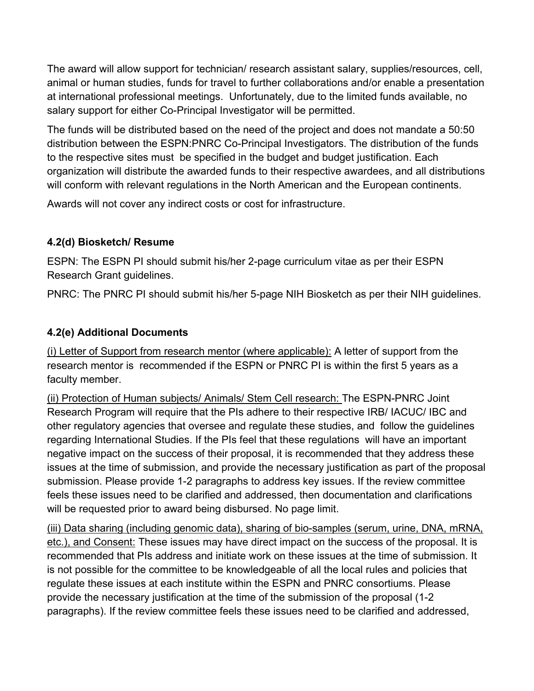The award will allow support for technician/ research assistant salary, supplies/resources, cell, animal or human studies, funds for travel to further collaborations and/or enable a presentation at international professional meetings. Unfortunately, due to the limited funds available, no salary support for either Co-Principal Investigator will be permitted.

The funds will be distributed based on the need of the project and does not mandate a 50:50 distribution between the ESPN:PNRC Co-Principal Investigators. The distribution of the funds to the respective sites must be specified in the budget and budget justification. Each organization will distribute the awarded funds to their respective awardees, and all distributions will conform with relevant regulations in the North American and the European continents.

Awards will not cover any indirect costs or cost for infrastructure.

# **4.2(d) Biosketch/ Resume**

ESPN: The ESPN PI should submit his/her 2-page curriculum vitae as per their ESPN Research Grant guidelines.

PNRC: The PNRC PI should submit his/her 5-page NIH Biosketch as per their NIH guidelines.

# **4.2(e) Additional Documents**

(i) Letter of Support from research mentor (where applicable): A letter of support from the research mentor is recommended if the ESPN or PNRC PI is within the first 5 years as a faculty member.

(ii) Protection of Human subjects/ Animals/ Stem Cell research: The ESPN-PNRC Joint Research Program will require that the PIs adhere to their respective IRB/ IACUC/ IBC and other regulatory agencies that oversee and regulate these studies, and follow the guidelines regarding International Studies. If the PIs feel that these regulations will have an important negative impact on the success of their proposal, it is recommended that they address these issues at the time of submission, and provide the necessary justification as part of the proposal submission. Please provide 1-2 paragraphs to address key issues. If the review committee feels these issues need to be clarified and addressed, then documentation and clarifications will be requested prior to award being disbursed. No page limit.

(iii) Data sharing (including genomic data), sharing of bio-samples (serum, urine, DNA, mRNA, etc.), and Consent: These issues may have direct impact on the success of the proposal. It is recommended that PIs address and initiate work on these issues at the time of submission. It is not possible for the committee to be knowledgeable of all the local rules and policies that regulate these issues at each institute within the ESPN and PNRC consortiums. Please provide the necessary justification at the time of the submission of the proposal (1-2 paragraphs). If the review committee feels these issues need to be clarified and addressed,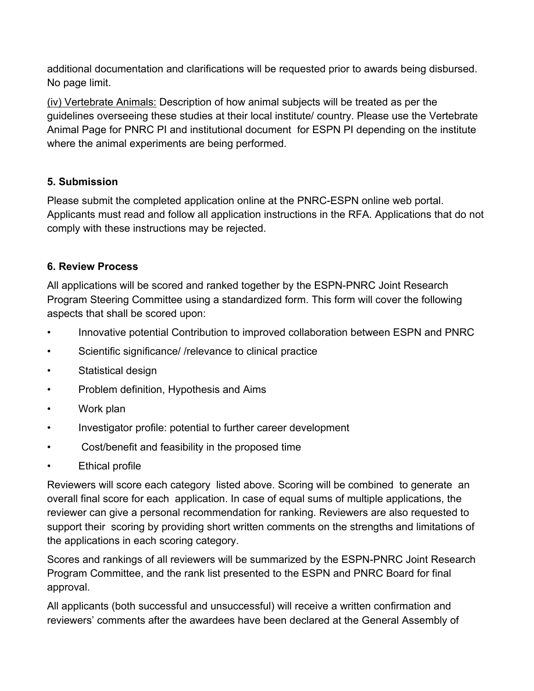additional documentation and clarifications will be requested prior to awards being disbursed. No page limit.

(iv) Vertebrate Animals: Description of how animal subjects will be treated as per the guidelines overseeing these studies at their local institute/ country. Please use the Vertebrate Animal Page for PNRC PI and institutional document for ESPN PI depending on the institute where the animal experiments are being performed.

# **5. Submission**

Please submit the completed application online at the PNRC-ESPN online web portal. Applicants must read and follow all application instructions in the RFA. Applications that do not comply with these instructions may be rejected.

#### **6. Review Process**

All applications will be scored and ranked together by the ESPN-PNRC Joint Research Program Steering Committee using a standardized form. This form will cover the following aspects that shall be scored upon:

- Innovative potential Contribution to improved collaboration between ESPN and PNRC
- Scientific significance//relevance to clinical practice
- Statistical design
- Problem definition, Hypothesis and Aims
- Work plan
- Investigator profile: potential to further career development
- Cost/benefit and feasibility in the proposed time
- **Ethical profile**

Reviewers will score each category listed above. Scoring will be combined to generate an overall final score for each application. In case of equal sums of multiple applications, the reviewer can give a personal recommendation for ranking. Reviewers are also requested to support their scoring by providing short written comments on the strengths and limitations of the applications in each scoring category.

Scores and rankings of all reviewers will be summarized by the ESPN-PNRC Joint Research Program Committee, and the rank list presented to the ESPN and PNRC Board for final approval.

All applicants (both successful and unsuccessful) will receive a written confirmation and reviewers' comments after the awardees have been declared at the General Assembly of